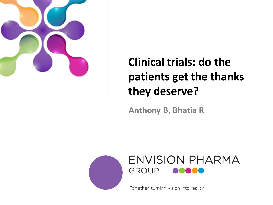

#### **Clinical trials: do the patients get the thanks they deserve?**

**Anthony B, Bhatia R**



Together, turning vision into reality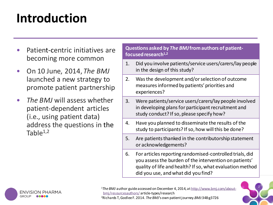# **Introduction**

- Patient-centric initiatives are becoming more common
- On 10 June, 2014, *The BMJ*  launched a new strategy to promote patient partnership
- *The BMJ* will assess whether patient-dependent articles (i.e., using patient data) address the questions in the Table $1,2$

#### **Questions asked by** *The BMJ***from authors of patientfocused research1,2**

- 1. Did you involve patients/service users/carers/lay people in the design of this study?
- 2. Was the development and/or selection of outcome measures informed by patients' priorities and experiences?
- 3. Were patients/service users/carers/lay people involved in developing plans for participant recruitment and study conduct? If so, please specify how?
- 4. Have you planned to disseminate the results of the study to participants? If so, how will this be done?
- 5. Are patients thanked in the contributorship statement or acknowledgements?
- 6. For articles reporting randomised-controlled trials, did you assess the burden of the intervention on patients' quality of life and health? If so, what evaluation method did you use, and what did you find?



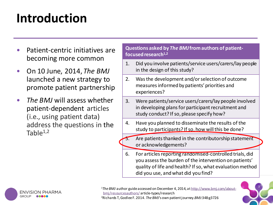# **Introduction**

- Patient-centric initiatives are becoming more common
- On 10 June, 2014, *The BMJ*  launched a new strategy to promote patient partnership
- *The BMJ* will assess whether patient-dependent articles (i.e., using patient data) address the questions in the Table $1,2$

#### **Questions asked by** *The BMJ* **from authors of patientfocused research1,2**

- 1. Did you involve patients/service users/carers/lay people in the design of this study?
- 2. Was the development and/or selection of outcome measures informed by patients' priorities and experiences?
- 3. Were patients/service users/carers/lay people involved in developing plans for participant recruitment and study conduct? If so, please specify how?
- 4. Have you planned to disseminate the results of the study to participants? If so, how will this be done?
	- Are patients thanked in the contributorship statement or acknowledgements?
- 6. For articles reporting randomised-controlled trials, did you assess the burden of the intervention on patients' quality of life and health? If so, what evaluation method did you use, and what did you find?



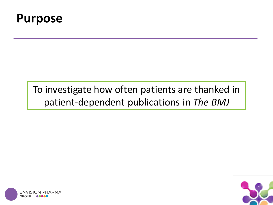

#### To investigate how often patients are thanked in patient-dependent publications in *The BMJ*



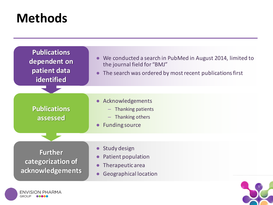#### **Methods**



**ENVISION PHARMA** GROUP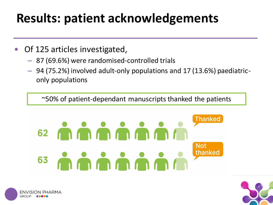# **Results: patient acknowledgements**

- Of 125 articles investigated,
	- 87 (69.6%) were randomised-controlled trials
	- 94 (75.2%) involved adult-only populations and 17 (13.6%) paediatriconly populations

~50% of patient-dependant manuscripts thanked the patients



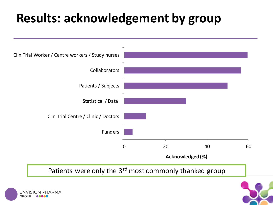# **Results: acknowledgement by group**





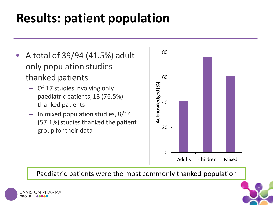# **Results: patient population**

- A total of 39/94 (41.5%) adultonly population studies thanked patients
	- Of 17 studies involving only paediatric patients, 13 (76.5%) thanked patients
	- In mixed population studies, 8/14 (57.1%) studies thanked the patient group for their data



Paediatric patients were the most commonly thanked population



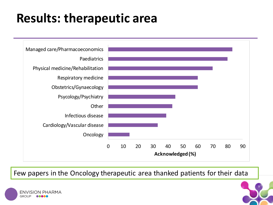#### **Results: therapeutic area**



Few papers in the Oncology therapeutic area thanked patients for their data



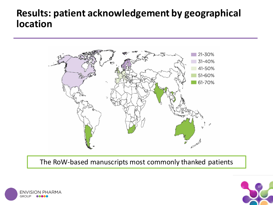#### **Results: patient acknowledgement by geographical location**



The RoW-based manuscripts most commonly thanked patients



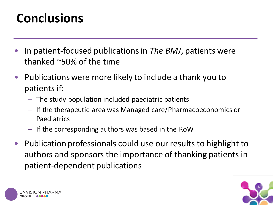# **Conclusions**

- In patient-focused publications in *The BMJ*, patients were thanked ~50% of the time
- Publications were more likely to include a thank you to patients if:
	- The study population included paediatric patients
	- If the therapeutic area was Managed care/Pharmacoeconomics or Paediatrics
	- $-$  If the corresponding authors was based in the RoW
- Publication professionals could use our results to highlight to authors and sponsors the importance of thanking patients in patient-dependent publications